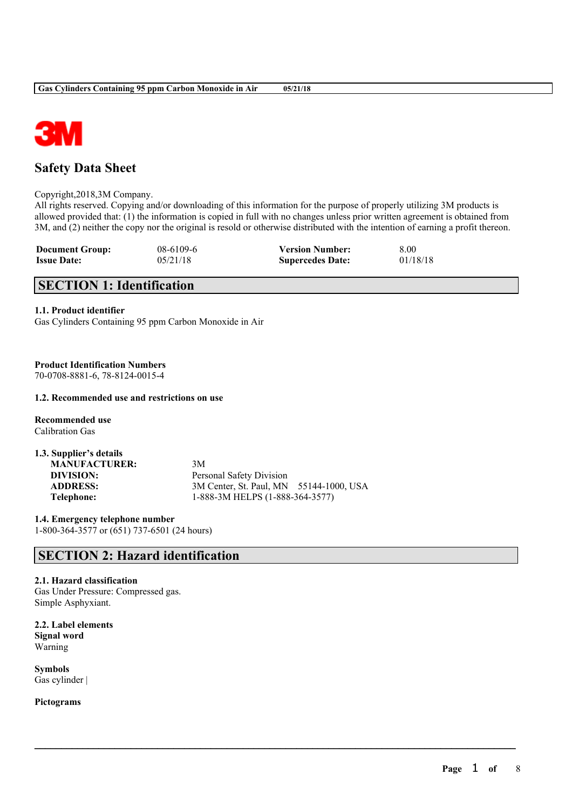

# **Safety Data Sheet**

Copyright,2018,3M Company.

All rights reserved. Copying and/or downloading of this information for the purpose of properly utilizing 3M products is allowed provided that: (1) the information is copied in full with no changes unless prior written agreement is obtained from 3M, and (2) neither the copy nor the original is resold or otherwise distributed with the intention of earning a profit thereon.

 $\mathcal{L}_\mathcal{L} = \mathcal{L}_\mathcal{L} = \mathcal{L}_\mathcal{L} = \mathcal{L}_\mathcal{L} = \mathcal{L}_\mathcal{L} = \mathcal{L}_\mathcal{L} = \mathcal{L}_\mathcal{L} = \mathcal{L}_\mathcal{L} = \mathcal{L}_\mathcal{L} = \mathcal{L}_\mathcal{L} = \mathcal{L}_\mathcal{L} = \mathcal{L}_\mathcal{L} = \mathcal{L}_\mathcal{L} = \mathcal{L}_\mathcal{L} = \mathcal{L}_\mathcal{L} = \mathcal{L}_\mathcal{L} = \mathcal{L}_\mathcal{L}$ 

| <b>Document Group:</b> | $08-6109-6$ | <b>Version Number:</b>  | 8.00     |
|------------------------|-------------|-------------------------|----------|
| <b>Issue Date:</b>     | 05/21/18    | <b>Supercedes Date:</b> | 01/18/18 |

# **SECTION 1: Identification**

## **1.1. Product identifier**

Gas Cylinders Containing 95 ppm Carbon Monoxide in Air

## **Product Identification Numbers**

70-0708-8881-6, 78-8124-0015-4

### **1.2. Recommended use and restrictions on use**

**Recommended use** Calibration Gas

| 1.3. Supplier's details |                                         |
|-------------------------|-----------------------------------------|
| <b>MANUFACTURER:</b>    | 3M                                      |
| DIVISION:               | Personal Safety Division                |
| <b>ADDRESS:</b>         | 3M Center, St. Paul, MN 55144-1000, USA |
| Telephone:              | 1-888-3M HELPS (1-888-364-3577)         |

**1.4. Emergency telephone number** 1-800-364-3577 or (651) 737-6501 (24 hours)

# **SECTION 2: Hazard identification**

## **2.1. Hazard classification**

Gas Under Pressure: Compressed gas. Simple Asphyxiant.

**2.2. Label elements Signal word** Warning

**Symbols** Gas cylinder |

**Pictograms**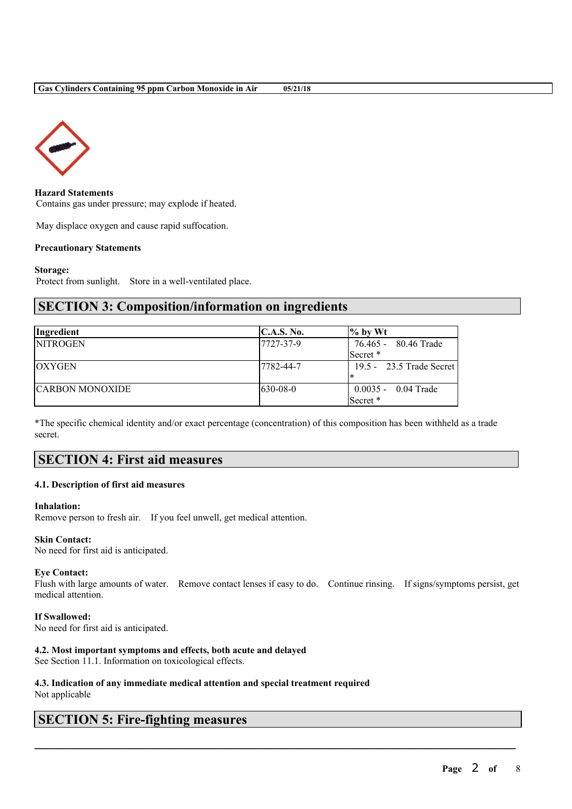



**Hazard Statements** Contains gas under pressure; may explode if heated.

May displace oxygen and cause rapid suffocation.

### **Precautionary Statements**

#### **Storage:**

Protect from sunlight. Store in a well-ventilated place.

## **SECTION 3: Composition/information on ingredients**

| Ingredient             | C.A.S. No. | $\%$ by Wt               |
|------------------------|------------|--------------------------|
| <b>NITROGEN</b>        | 17727-37-9 | 76.465 - 80.46 Trade     |
|                        |            | Secret *                 |
| <b>OXYGEN</b>          | 17782-44-7 | 19.5 - 23.5 Trade Secret |
|                        |            |                          |
| <b>CARBON MONOXIDE</b> | $630-08-0$ | $0.0035 - 0.04$ Trade    |
|                        |            | Secret *                 |

\*The specific chemical identity and/or exact percentage (concentration) of this composition has been withheld as a trade secret.

## **SECTION 4: First aid measures**

#### **4.1. Description of first aid measures**

#### **Inhalation:**

Remove person to fresh air. If you feel unwell, get medical attention.

## **Skin Contact:**

No need for first aid is anticipated.

#### **Eye Contact:**

Flush with large amounts of water. Remove contact lenses if easy to do. Continue rinsing. If signs/symptoms persist, get medical attention.

 $\mathcal{L}_\mathcal{L} = \mathcal{L}_\mathcal{L} = \mathcal{L}_\mathcal{L} = \mathcal{L}_\mathcal{L} = \mathcal{L}_\mathcal{L} = \mathcal{L}_\mathcal{L} = \mathcal{L}_\mathcal{L} = \mathcal{L}_\mathcal{L} = \mathcal{L}_\mathcal{L} = \mathcal{L}_\mathcal{L} = \mathcal{L}_\mathcal{L} = \mathcal{L}_\mathcal{L} = \mathcal{L}_\mathcal{L} = \mathcal{L}_\mathcal{L} = \mathcal{L}_\mathcal{L} = \mathcal{L}_\mathcal{L} = \mathcal{L}_\mathcal{L}$ 

### **If Swallowed:**

No need for first aid is anticipated.

#### **4.2. Most important symptoms and effects, both acute and delayed**

See Section 11.1. Information on toxicological effects.

### **4.3. Indication of any immediate medical attention and special treatment required** Not applicable

# **SECTION 5: Fire-fighting measures**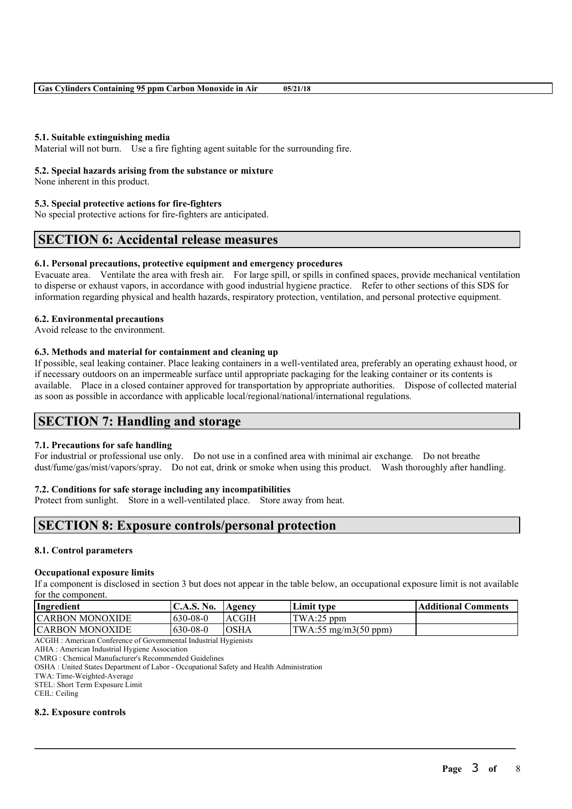## **5.1. Suitable extinguishing media**

Material will not burn. Use a fire fighting agent suitable for the surrounding fire.

### **5.2. Special hazards arising from the substance or mixture**

None inherent in this product.

## **5.3. Special protective actions for fire-fighters**

No special protective actions for fire-fighters are anticipated.

## **SECTION 6: Accidental release measures**

### **6.1. Personal precautions, protective equipment and emergency procedures**

Evacuate area. Ventilate the area with fresh air. For large spill, or spills in confined spaces, provide mechanical ventilation to disperse or exhaust vapors, in accordance with good industrial hygiene practice. Refer to other sections of this SDS for information regarding physical and health hazards, respiratory protection, ventilation, and personal protective equipment.

## **6.2. Environmental precautions**

Avoid release to the environment.

## **6.3. Methods and material for containment and cleaning up**

If possible, seal leaking container. Place leaking containers in a well-ventilated area, preferably an operating exhaust hood, or if necessary outdoors on an impermeable surface until appropriate packaging for the leaking container or its contents is available. Place in a closed container approved for transportation by appropriate authorities. Dispose of collected material as soon as possible in accordance with applicable local/regional/national/international regulations.

# **SECTION 7: Handling and storage**

## **7.1. Precautions for safe handling**

For industrial or professional use only. Do not use in a confined area with minimal air exchange. Do not breathe dust/fume/gas/mist/vapors/spray. Do not eat, drink or smoke when using this product. Wash thoroughly after handling.

## **7.2. Conditions for safe storage including any incompatibilities**

Protect from sunlight. Store in a well-ventilated place. Store away from heat.

# **SECTION 8: Exposure controls/personal protection**

### **8.1. Control parameters**

#### **Occupational exposure limits**

If a component is disclosed in section 3 but does not appear in the table below, an occupational exposure limit is not available for the component.

| Ingredient             | $\mathsf{IC.A.S.}\$ No. | Agency       | Limit type                    | <b>Additional Comments</b> |
|------------------------|-------------------------|--------------|-------------------------------|----------------------------|
| <b>CARBON MONOXIDE</b> | $630 - 08 - 0$          | <b>ACGIH</b> | TWA:25 ppm                    |                            |
| <b>CARBON MONOXIDE</b> | $630 - 08 - 0$          | IOSHA        | $\text{TWA:55 mg/m3(50 ppm)}$ |                            |

 $\mathcal{L}_\mathcal{L} = \mathcal{L}_\mathcal{L} = \mathcal{L}_\mathcal{L} = \mathcal{L}_\mathcal{L} = \mathcal{L}_\mathcal{L} = \mathcal{L}_\mathcal{L} = \mathcal{L}_\mathcal{L} = \mathcal{L}_\mathcal{L} = \mathcal{L}_\mathcal{L} = \mathcal{L}_\mathcal{L} = \mathcal{L}_\mathcal{L} = \mathcal{L}_\mathcal{L} = \mathcal{L}_\mathcal{L} = \mathcal{L}_\mathcal{L} = \mathcal{L}_\mathcal{L} = \mathcal{L}_\mathcal{L} = \mathcal{L}_\mathcal{L}$ 

ACGIH : American Conference of Governmental Industrial Hygienists

AIHA : American Industrial Hygiene Association

CMRG : Chemical Manufacturer's Recommended Guidelines

OSHA : United States Department of Labor - Occupational Safety and Health Administration

TWA: Time-Weighted-Average

STEL: Short Term Exposure Limit

CEIL: Ceiling

#### **8.2. Exposure controls**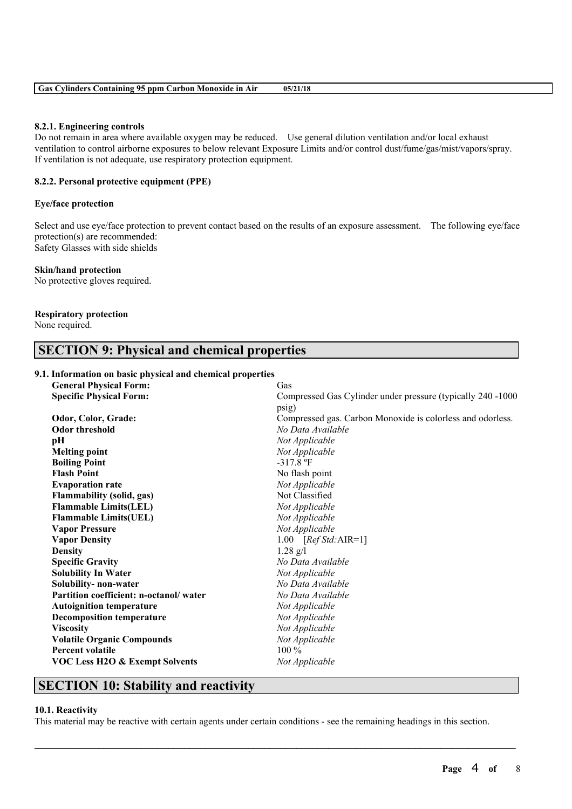| <b>Gas Cylinders Containing 95 ppm Carbon Monoxide in Air</b><br>05/21/18 |  |
|---------------------------------------------------------------------------|--|
|---------------------------------------------------------------------------|--|

#### **8.2.1. Engineering controls**

Do not remain in area where available oxygen may be reduced. Use general dilution ventilation and/or local exhaust ventilation to control airborne exposures to below relevant Exposure Limits and/or control dust/fume/gas/mist/vapors/spray. If ventilation is not adequate, use respiratory protection equipment.

## **8.2.2. Personal protective equipment (PPE)**

#### **Eye/face protection**

Select and use eye/face protection to prevent contact based on the results of an exposure assessment. The following eye/face protection(s) are recommended: Safety Glasses with side shields

#### **Skin/hand protection**

No protective gloves required.

### **Respiratory protection**

None required.

# **SECTION 9: Physical and chemical properties**

## **9.1. Information on basic physical and chemical properties**

| <b>General Physical Form:</b>             | Gas                                                         |
|-------------------------------------------|-------------------------------------------------------------|
| <b>Specific Physical Form:</b>            | Compressed Gas Cylinder under pressure (typically 240 -1000 |
|                                           | psig)                                                       |
| Odor, Color, Grade:                       | Compressed gas. Carbon Monoxide is colorless and odorless.  |
| <b>Odor threshold</b>                     | No Data Available                                           |
| pН                                        | Not Applicable                                              |
| <b>Melting point</b>                      | Not Applicable                                              |
| <b>Boiling Point</b>                      | $-317.8$ °F                                                 |
| <b>Flash Point</b>                        | No flash point                                              |
| <b>Evaporation rate</b>                   | Not Applicable                                              |
| <b>Flammability (solid, gas)</b>          | Not Classified                                              |
| <b>Flammable Limits(LEL)</b>              | Not Applicable                                              |
| <b>Flammable Limits(UEL)</b>              | Not Applicable                                              |
| <b>Vapor Pressure</b>                     | Not Applicable                                              |
| <b>Vapor Density</b>                      | 1.00 $[RefStd:AIR=1]$                                       |
| <b>Density</b>                            | $1.28$ g/l                                                  |
| <b>Specific Gravity</b>                   | No Data Available                                           |
| <b>Solubility In Water</b>                | Not Applicable                                              |
| Solubility- non-water                     | No Data Available                                           |
| Partition coefficient: n-octanol/water    | No Data Available                                           |
| <b>Autoignition temperature</b>           | Not Applicable                                              |
| <b>Decomposition temperature</b>          | Not Applicable                                              |
| <b>Viscosity</b>                          | Not Applicable                                              |
| <b>Volatile Organic Compounds</b>         | Not Applicable                                              |
| <b>Percent volatile</b>                   | $100\%$                                                     |
| <b>VOC Less H2O &amp; Exempt Solvents</b> | Not Applicable                                              |
|                                           |                                                             |

# **SECTION 10: Stability and reactivity**

#### **10.1. Reactivity**

This material may be reactive with certain agents under certain conditions - see the remaining headings in this section.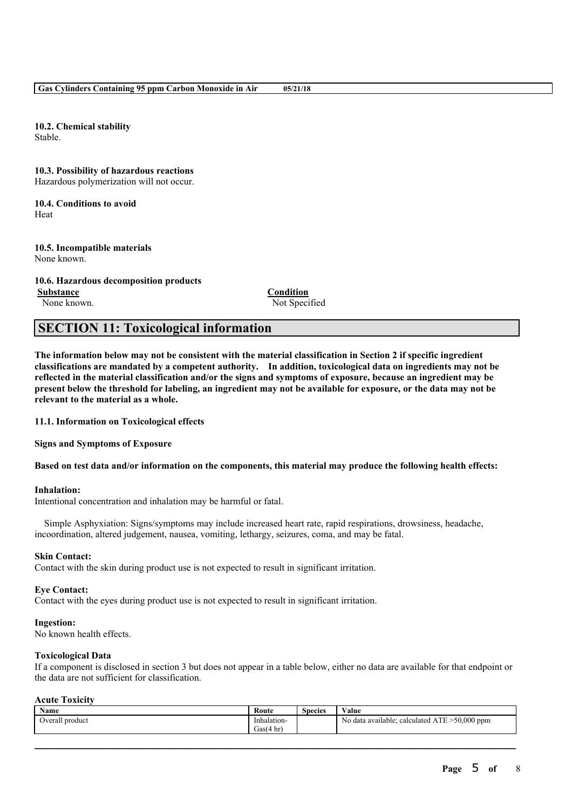**10.2. Chemical stability** Stable.

**10.3. Possibility of hazardous reactions**

Hazardous polymerization will not occur.

**10.4. Conditions to avoid** Heat

**10.5. Incompatible materials** None known.

**10.6. Hazardous decomposition products Substance Condition** None known. Not Specified

# **SECTION 11: Toxicological information**

The information below may not be consistent with the material classification in Section 2 if specific ingredient **classifications are mandated by a competent authority. In addition, toxicological data on ingredients may not be** reflected in the material classification and/or the signs and symptoms of exposure, because an ingredient may be present below the threshold for labeling, an ingredient may not be available for exposure, or the data may not be **relevant to the material as a whole.**

**11.1. Information on Toxicological effects**

**Signs and Symptoms of Exposure**

Based on test data and/or information on the components, this material may produce the following health effects:

## **Inhalation:**

Intentional concentration and inhalation may be harmful or fatal.

Simple Asphyxiation: Signs/symptoms may include increased heart rate, rapid respirations, drowsiness, headache, incoordination, altered judgement, nausea, vomiting, lethargy, seizures, coma, and may be fatal.

#### **Skin Contact:**

Contact with the skin during product use is not expected to result in significant irritation.

#### **Eye Contact:**

Contact with the eyes during product use is not expected to result in significant irritation.

#### **Ingestion:**

No known health effects.

### **Toxicological Data**

If a component is disclosed in section 3 but does not appear in a table below, either no data are available for that endpoint or the data are not sufficient for classification.

### **Acute Toxicity**

| . .<br>Name         | Koute         | $\sim$<br><b>Species</b> | <b>WY 1</b><br>Value                                 |
|---------------------|---------------|--------------------------|------------------------------------------------------|
| l product<br>Overal | Inhalation-   |                          | $50,000$ ppm<br>No data available; calculated<br>AIE |
|                     | Gas(·<br>4 hr |                          |                                                      |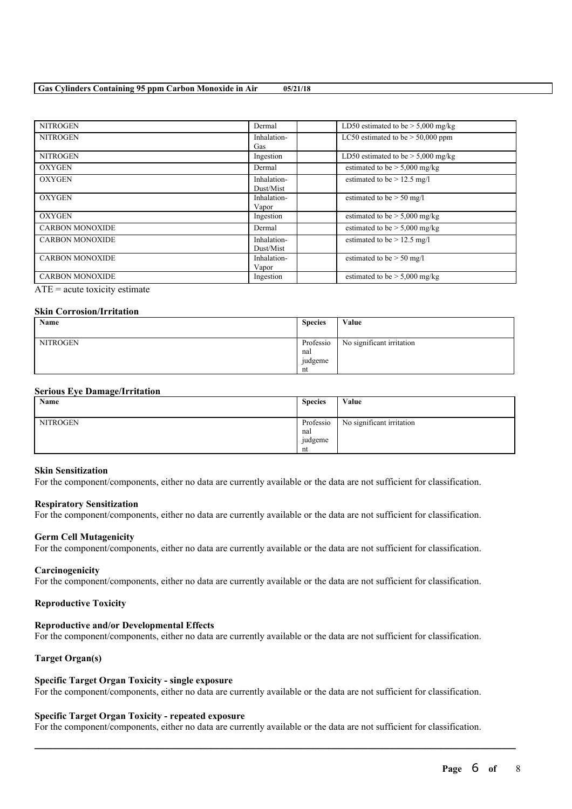### **Gas Cylinders Containing 95 ppm Carbon Monoxide in Air 05/21/18**

| <b>NITROGEN</b>        | Dermal                   | LD50 estimated to be $> 5,000$ mg/kg |
|------------------------|--------------------------|--------------------------------------|
| <b>NITROGEN</b>        | Inhalation-<br>Gas       | LC50 estimated to be $> 50,000$ ppm  |
| <b>NITROGEN</b>        | Ingestion                | LD50 estimated to be $> 5,000$ mg/kg |
| <b>OXYGEN</b>          | Dermal                   | estimated to be $> 5,000$ mg/kg      |
| <b>OXYGEN</b>          | Inhalation-<br>Dust/Mist | estimated to be $> 12.5$ mg/l        |
| <b>OXYGEN</b>          | Inhalation-<br>Vapor     | estimated to be $>$ 50 mg/l          |
| <b>OXYGEN</b>          | Ingestion                | estimated to be $> 5,000$ mg/kg      |
| <b>CARBON MONOXIDE</b> | Dermal                   | estimated to be $> 5,000$ mg/kg      |
| <b>CARBON MONOXIDE</b> | Inhalation-<br>Dust/Mist | estimated to be $> 12.5$ mg/l        |
| <b>CARBON MONOXIDE</b> | Inhalation-<br>Vapor     | estimated to be $> 50$ mg/l          |
| <b>CARBON MONOXIDE</b> | Ingestion                | estimated to be $> 5,000$ mg/kg      |

 $ATE = acute$  toxicity estimate

## **Skin Corrosion/Irritation**

| Name     | <b>Species</b>   | Value                     |
|----------|------------------|---------------------------|
| NITROGEN | Professio<br>nal | No significant irritation |
|          | judgeme<br>nt    |                           |

## **Serious Eye Damage/Irritation**

| Name            | <b>Species</b>                    | Value                     |
|-----------------|-----------------------------------|---------------------------|
| <b>NITROGEN</b> | Professio<br>nal<br>judgeme<br>nt | No significant irritation |

#### **Skin Sensitization**

For the component/components, either no data are currently available or the data are not sufficient for classification.

#### **Respiratory Sensitization**

For the component/components, either no data are currently available or the data are not sufficient for classification.

#### **Germ Cell Mutagenicity**

For the component/components, either no data are currently available or the data are not sufficient for classification.

#### **Carcinogenicity**

For the component/components, either no data are currently available or the data are not sufficient for classification.

#### **Reproductive Toxicity**

## **Reproductive and/or Developmental Effects**

For the component/components, either no data are currently available or the data are not sufficient for classification.

## **Target Organ(s)**

#### **Specific Target Organ Toxicity - single exposure**

For the component/components, either no data are currently available or the data are not sufficient for classification.

#### **Specific Target Organ Toxicity - repeated exposure**

For the component/components, either no data are currently available or the data are not sufficient for classification.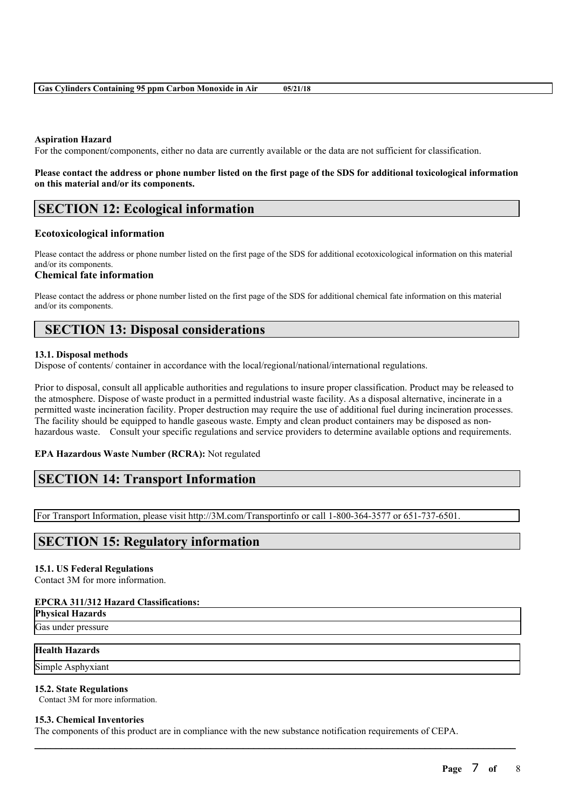## **Aspiration Hazard**

For the component/components, either no data are currently available or the data are not sufficient for classification.

## Please contact the address or phone number listed on the first page of the SDS for additional toxicological information **on this material and/or its components.**

## **SECTION 12: Ecological information**

#### **Ecotoxicological information**

Please contact the address or phone number listed on the first page of the SDS for additional ecotoxicological information on this material and/or its components.

### **Chemical fate information**

Please contact the address or phone number listed on the first page of the SDS for additional chemical fate information on this material and/or its components.

## **SECTION 13: Disposal considerations**

#### **13.1. Disposal methods**

Dispose of contents/ container in accordance with the local/regional/national/international regulations.

Prior to disposal, consult all applicable authorities and regulations to insure proper classification. Product may be released to the atmosphere. Dispose of waste product in a permitted industrial waste facility. As a disposal alternative, incinerate in a permitted waste incineration facility. Proper destruction may require the use of additional fuel during incineration processes. The facility should be equipped to handle gaseous waste. Empty and clean product containers may be disposed as nonhazardous waste. Consult your specific regulations and service providers to determine available options and requirements.

## **EPA Hazardous Waste Number (RCRA):** Not regulated

## **SECTION 14: Transport Information**

For Transport Information, please visit http://3M.com/Transportinfo or call 1-800-364-3577 or 651-737-6501.

# **SECTION 15: Regulatory information**

#### **15.1. US Federal Regulations**

Contact 3M for more information.

#### **EPCRA 311/312 Hazard Classifications:**

## **Physical Hazards**

Gas under pressure

## **Health Hazards**

Simple Asphyxiant

#### **15.2. State Regulations**

Contact 3M for more information.

### **15.3. Chemical Inventories**

The components of this product are in compliance with the new substance notification requirements of CEPA.